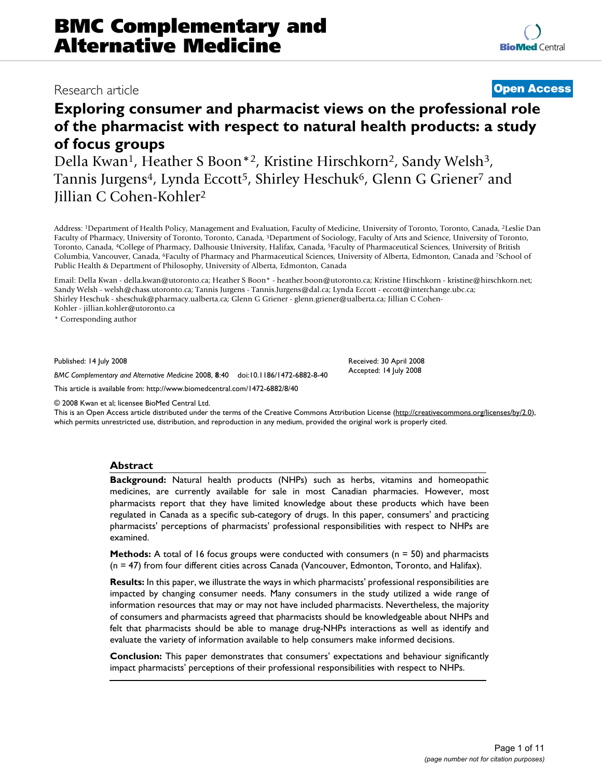# Research article **[Open Access](http://www.biomedcentral.com/info/about/charter/)**

# **Exploring consumer and pharmacist views on the professional role of the pharmacist with respect to natural health products: a study of focus groups**

Della Kwan<sup>1</sup>, Heather S Boon<sup>\*2</sup>, Kristine Hirschkorn<sup>2</sup>, Sandy Welsh<sup>3</sup>, Tannis Jurgens<sup>4</sup>, Lynda Eccott<sup>5</sup>, Shirley Heschuk<sup>6</sup>, Glenn G Griener<sup>7</sup> and Jillian C Cohen-Kohler2

Address: 1Department of Health Policy, Management and Evaluation, Faculty of Medicine, University of Toronto, Toronto, Canada, 2Leslie Dan Faculty of Pharmacy, University of Toronto, Toronto, Canada, 3Department of Sociology, Faculty of Arts and Science, University of Toronto, Toronto, Canada, 4College of Pharmacy, Dalhousie University, Halifax, Canada, 5Faculty of Pharmaceutical Sciences, University of British Columbia, Vancouver, Canada, 6Faculty of Pharmacy and Pharmaceutical Sciences, University of Alberta, Edmonton, Canada and 7School of Public Health & Department of Philosophy, University of Alberta, Edmonton, Canada

Email: Della Kwan - della.kwan@utoronto.ca; Heather S Boon\* - heather.boon@utoronto.ca; Kristine Hirschkorn - kristine@hirschkorn.net; Sandy Welsh - welsh@chass.utoronto.ca; Tannis Jurgens - Tannis.Jurgens@dal.ca; Lynda Eccott - eccott@interchange.ubc.ca; Shirley Heschuk - sheschuk@pharmacy.ualberta.ca; Glenn G Griener - glenn.griener@ualberta.ca; Jillian C Cohen-Kohler - jillian.kohler@utoronto.ca

\* Corresponding author

Published: 14 July 2008

*BMC Complementary and Alternative Medicine* 2008, **8**:40 doi:10.1186/1472-6882-8-40

[This article is available from: http://www.biomedcentral.com/1472-6882/8/40](http://www.biomedcentral.com/1472-6882/8/40)

© 2008 Kwan et al; licensee BioMed Central Ltd.

This is an Open Access article distributed under the terms of the Creative Commons Attribution License [\(http://creativecommons.org/licenses/by/2.0\)](http://creativecommons.org/licenses/by/2.0), which permits unrestricted use, distribution, and reproduction in any medium, provided the original work is properly cited.

Received: 30 April 2008 Accepted: 14 July 2008

# **Abstract**

**Background:** Natural health products (NHPs) such as herbs, vitamins and homeopathic medicines, are currently available for sale in most Canadian pharmacies. However, most pharmacists report that they have limited knowledge about these products which have been regulated in Canada as a specific sub-category of drugs. In this paper, consumers' and practicing pharmacists' perceptions of pharmacists' professional responsibilities with respect to NHPs are examined.

**Methods:** A total of 16 focus groups were conducted with consumers (n = 50) and pharmacists (n = 47) from four different cities across Canada (Vancouver, Edmonton, Toronto, and Halifax).

**Results:** In this paper, we illustrate the ways in which pharmacists' professional responsibilities are impacted by changing consumer needs. Many consumers in the study utilized a wide range of information resources that may or may not have included pharmacists. Nevertheless, the majority of consumers and pharmacists agreed that pharmacists should be knowledgeable about NHPs and felt that pharmacists should be able to manage drug-NHPs interactions as well as identify and evaluate the variety of information available to help consumers make informed decisions.

**Conclusion:** This paper demonstrates that consumers' expectations and behaviour significantly impact pharmacists' perceptions of their professional responsibilities with respect to NHPs.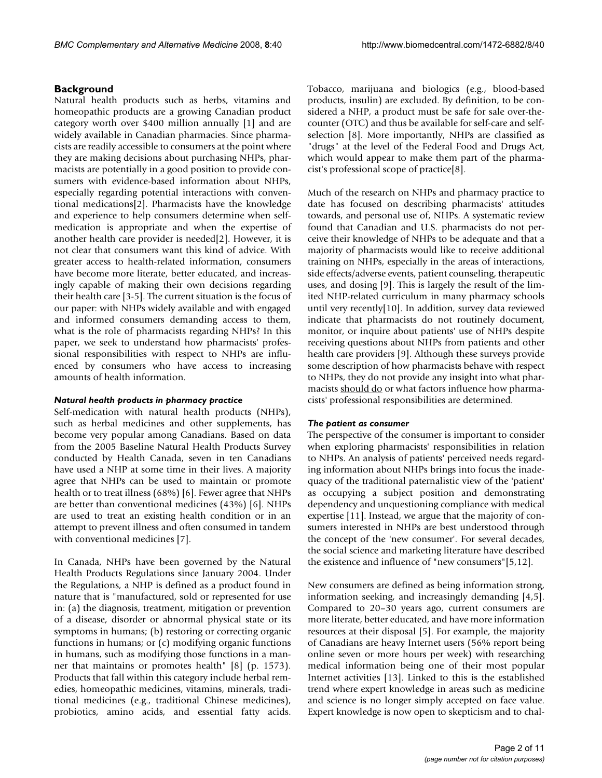# **Background**

Natural health products such as herbs, vitamins and homeopathic products are a growing Canadian product category worth over \$400 million annually [1] and are widely available in Canadian pharmacies. Since pharmacists are readily accessible to consumers at the point where they are making decisions about purchasing NHPs, pharmacists are potentially in a good position to provide consumers with evidence-based information about NHPs, especially regarding potential interactions with conventional medications[2]. Pharmacists have the knowledge and experience to help consumers determine when selfmedication is appropriate and when the expertise of another health care provider is needed[2]. However, it is not clear that consumers want this kind of advice. With greater access to health-related information, consumers have become more literate, better educated, and increasingly capable of making their own decisions regarding their health care [3-5]. The current situation is the focus of our paper: with NHPs widely available and with engaged and informed consumers demanding access to them, what is the role of pharmacists regarding NHPs? In this paper, we seek to understand how pharmacists' professional responsibilities with respect to NHPs are influenced by consumers who have access to increasing amounts of health information.

#### *Natural health products in pharmacy practice*

Self-medication with natural health products (NHPs), such as herbal medicines and other supplements, has become very popular among Canadians. Based on data from the 2005 Baseline Natural Health Products Survey conducted by Health Canada, seven in ten Canadians have used a NHP at some time in their lives. A majority agree that NHPs can be used to maintain or promote health or to treat illness (68%) [6]. Fewer agree that NHPs are better than conventional medicines (43%) [6]. NHPs are used to treat an existing health condition or in an attempt to prevent illness and often consumed in tandem with conventional medicines [7].

In Canada, NHPs have been governed by the Natural Health Products Regulations since January 2004. Under the Regulations, a NHP is defined as a product found in nature that is "manufactured, sold or represented for use in: (a) the diagnosis, treatment, mitigation or prevention of a disease, disorder or abnormal physical state or its symptoms in humans; (b) restoring or correcting organic functions in humans; or (c) modifying organic functions in humans, such as modifying those functions in a manner that maintains or promotes health" [8] (p. 1573). Products that fall within this category include herbal remedies, homeopathic medicines, vitamins, minerals, traditional medicines (e.g., traditional Chinese medicines), probiotics, amino acids, and essential fatty acids.

Tobacco, marijuana and biologics (e.g., blood-based products, insulin) are excluded. By definition, to be considered a NHP, a product must be safe for sale over-thecounter (OTC) and thus be available for self-care and selfselection [8]. More importantly, NHPs are classified as "drugs" at the level of the Federal Food and Drugs Act, which would appear to make them part of the pharmacist's professional scope of practice[8].

Much of the research on NHPs and pharmacy practice to date has focused on describing pharmacists' attitudes towards, and personal use of, NHPs. A systematic review found that Canadian and U.S. pharmacists do not perceive their knowledge of NHPs to be adequate and that a majority of pharmacists would like to receive additional training on NHPs, especially in the areas of interactions, side effects/adverse events, patient counseling, therapeutic uses, and dosing [9]. This is largely the result of the limited NHP-related curriculum in many pharmacy schools until very recently[10]. In addition, survey data reviewed indicate that pharmacists do not routinely document, monitor, or inquire about patients' use of NHPs despite receiving questions about NHPs from patients and other health care providers [9]. Although these surveys provide some description of how pharmacists behave with respect to NHPs, they do not provide any insight into what pharmacists should do or what factors influence how pharmacists' professional responsibilities are determined.

#### *The patient as consumer*

The perspective of the consumer is important to consider when exploring pharmacists' responsibilities in relation to NHPs. An analysis of patients' perceived needs regarding information about NHPs brings into focus the inadequacy of the traditional paternalistic view of the 'patient' as occupying a subject position and demonstrating dependency and unquestioning compliance with medical expertise [11]. Instead, we argue that the majority of consumers interested in NHPs are best understood through the concept of the 'new consumer'. For several decades, the social science and marketing literature have described the existence and influence of "new consumers"[5,12].

New consumers are defined as being information strong, information seeking, and increasingly demanding [4,5]. Compared to 20–30 years ago, current consumers are more literate, better educated, and have more information resources at their disposal [5]. For example, the majority of Canadians are heavy Internet users (56% report being online seven or more hours per week) with researching medical information being one of their most popular Internet activities [13]. Linked to this is the established trend where expert knowledge in areas such as medicine and science is no longer simply accepted on face value. Expert knowledge is now open to skepticism and to chal-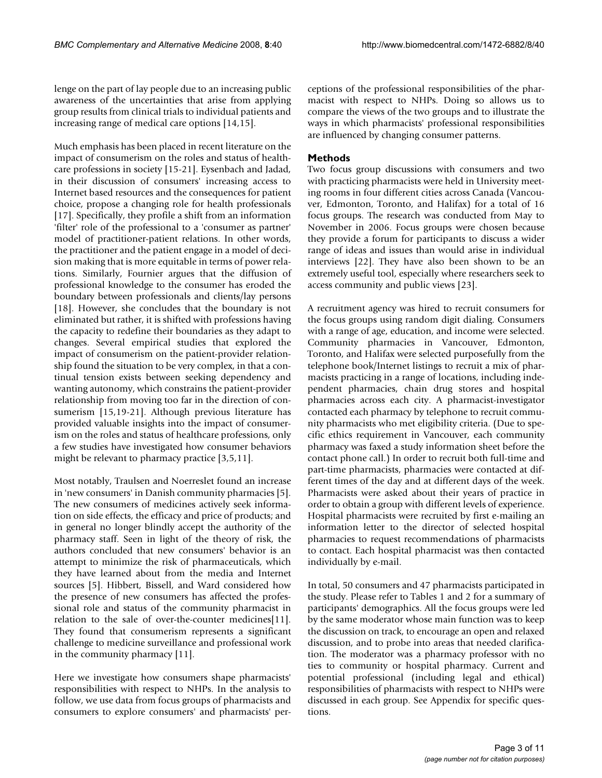lenge on the part of lay people due to an increasing public awareness of the uncertainties that arise from applying group results from clinical trials to individual patients and increasing range of medical care options [14,15].

Much emphasis has been placed in recent literature on the impact of consumerism on the roles and status of healthcare professions in society [15-21]. Eysenbach and Jadad, in their discussion of consumers' increasing access to Internet based resources and the consequences for patient choice, propose a changing role for health professionals [17]. Specifically, they profile a shift from an information 'filter' role of the professional to a 'consumer as partner' model of practitioner-patient relations. In other words, the practitioner and the patient engage in a model of decision making that is more equitable in terms of power relations. Similarly, Fournier argues that the diffusion of professional knowledge to the consumer has eroded the boundary between professionals and clients/lay persons [18]. However, she concludes that the boundary is not eliminated but rather, it is shifted with professions having the capacity to redefine their boundaries as they adapt to changes. Several empirical studies that explored the impact of consumerism on the patient-provider relationship found the situation to be very complex, in that a continual tension exists between seeking dependency and wanting autonomy, which constrains the patient-provider relationship from moving too far in the direction of consumerism [15,19-21]. Although previous literature has provided valuable insights into the impact of consumerism on the roles and status of healthcare professions, only a few studies have investigated how consumer behaviors might be relevant to pharmacy practice [3,5,11].

Most notably, Traulsen and Noerreslet found an increase in 'new consumers' in Danish community pharmacies [5]. The new consumers of medicines actively seek information on side effects, the efficacy and price of products; and in general no longer blindly accept the authority of the pharmacy staff. Seen in light of the theory of risk, the authors concluded that new consumers' behavior is an attempt to minimize the risk of pharmaceuticals, which they have learned about from the media and Internet sources [5]. Hibbert, Bissell, and Ward considered how the presence of new consumers has affected the professional role and status of the community pharmacist in relation to the sale of over-the-counter medicines[11]. They found that consumerism represents a significant challenge to medicine surveillance and professional work in the community pharmacy [11].

Here we investigate how consumers shape pharmacists' responsibilities with respect to NHPs. In the analysis to follow, we use data from focus groups of pharmacists and consumers to explore consumers' and pharmacists' perceptions of the professional responsibilities of the pharmacist with respect to NHPs. Doing so allows us to compare the views of the two groups and to illustrate the ways in which pharmacists' professional responsibilities are influenced by changing consumer patterns.

# **Methods**

Two focus group discussions with consumers and two with practicing pharmacists were held in University meeting rooms in four different cities across Canada (Vancouver, Edmonton, Toronto, and Halifax) for a total of 16 focus groups. The research was conducted from May to November in 2006. Focus groups were chosen because they provide a forum for participants to discuss a wider range of ideas and issues than would arise in individual interviews [22]. They have also been shown to be an extremely useful tool, especially where researchers seek to access community and public views [23].

A recruitment agency was hired to recruit consumers for the focus groups using random digit dialing. Consumers with a range of age, education, and income were selected. Community pharmacies in Vancouver, Edmonton, Toronto, and Halifax were selected purposefully from the telephone book/Internet listings to recruit a mix of pharmacists practicing in a range of locations, including independent pharmacies, chain drug stores and hospital pharmacies across each city. A pharmacist-investigator contacted each pharmacy by telephone to recruit community pharmacists who met eligibility criteria. (Due to specific ethics requirement in Vancouver, each community pharmacy was faxed a study information sheet before the contact phone call.) In order to recruit both full-time and part-time pharmacists, pharmacies were contacted at different times of the day and at different days of the week. Pharmacists were asked about their years of practice in order to obtain a group with different levels of experience. Hospital pharmacists were recruited by first e-mailing an information letter to the director of selected hospital pharmacies to request recommendations of pharmacists to contact. Each hospital pharmacist was then contacted individually by e-mail.

In total, 50 consumers and 47 pharmacists participated in the study. Please refer to Tables 1 and 2 for a summary of participants' demographics. All the focus groups were led by the same moderator whose main function was to keep the discussion on track, to encourage an open and relaxed discussion, and to probe into areas that needed clarification. The moderator was a pharmacy professor with no ties to community or hospital pharmacy. Current and potential professional (including legal and ethical) responsibilities of pharmacists with respect to NHPs were discussed in each group. See Appendix for specific questions.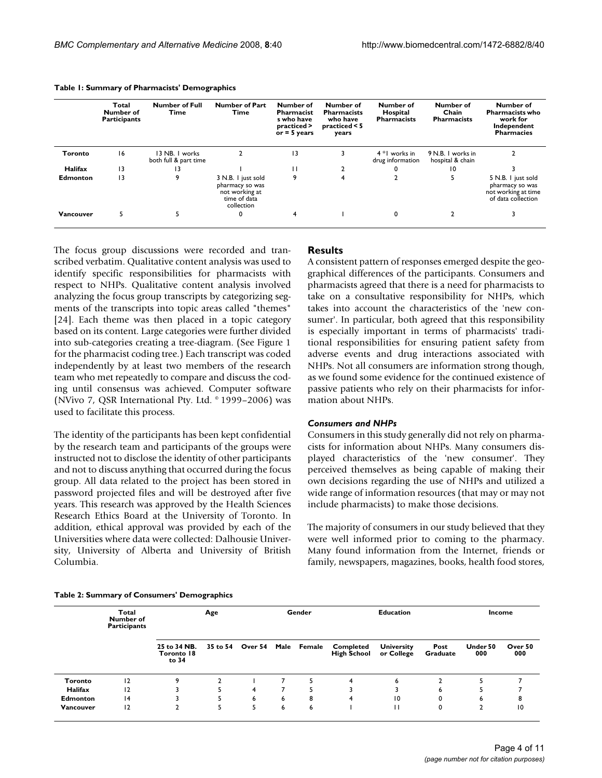|                | Total<br>Number of<br><b>Participants</b> | <b>Number of Full</b><br>Time           | <b>Number of Part</b><br>Time                                                         | Number of<br>Pharmacist<br>s who have<br>practiced ><br>or $=$ 5 years | Number of<br><b>Pharmacists</b><br>who have<br>practical < 5<br>years | Number of<br>Hospital<br><b>Pharmacists</b> | Number of<br>Chain<br><b>Pharmacists</b> | <b>Number of</b><br><b>Pharmacists who</b><br>work for<br>Independent<br><b>Pharmacies</b> |
|----------------|-------------------------------------------|-----------------------------------------|---------------------------------------------------------------------------------------|------------------------------------------------------------------------|-----------------------------------------------------------------------|---------------------------------------------|------------------------------------------|--------------------------------------------------------------------------------------------|
| Toronto        | 16                                        | 13 NB. I works<br>both full & part time |                                                                                       | 13                                                                     |                                                                       | $4 *1$ works in<br>drug information         | 9 N.B. I works in<br>hospital & chain    |                                                                                            |
| <b>Halifax</b> | 13                                        | $\overline{13}$                         |                                                                                       | П                                                                      | 2                                                                     | 0                                           | 10                                       |                                                                                            |
| Edmonton       | 13                                        | 9                                       | 3 N.B. I just sold<br>pharmacy so was<br>not working at<br>time of data<br>collection | 9                                                                      | 4                                                                     |                                             | 5                                        | 5 N.B. I just sold<br>pharmacy so was<br>not working at time<br>of data collection         |
| Vancouver      |                                           |                                         | 0                                                                                     | 4                                                                      |                                                                       | 0                                           |                                          |                                                                                            |

#### **Table 1: Summary of Pharmacists' Demographics**

The focus group discussions were recorded and transcribed verbatim. Qualitative content analysis was used to identify specific responsibilities for pharmacists with respect to NHPs. Qualitative content analysis involved analyzing the focus group transcripts by categorizing segments of the transcripts into topic areas called "themes" [24]. Each theme was then placed in a topic category based on its content. Large categories were further divided into sub-categories creating a tree-diagram. (See Figure 1 for the pharmacist coding tree.) Each transcript was coded independently by at least two members of the research team who met repeatedly to compare and discuss the coding until consensus was achieved. Computer software (NVivo 7, QSR International Pty. Ltd. © 1999–2006) was used to facilitate this process.

The identity of the participants has been kept confidential by the research team and participants of the groups were instructed not to disclose the identity of other participants and not to discuss anything that occurred during the focus group. All data related to the project has been stored in password projected files and will be destroyed after five years. This research was approved by the Health Sciences Research Ethics Board at the University of Toronto. In addition, ethical approval was provided by each of the Universities where data were collected: Dalhousie University, University of Alberta and University of British Columbia.

# **Results**

A consistent pattern of responses emerged despite the geographical differences of the participants. Consumers and pharmacists agreed that there is a need for pharmacists to take on a consultative responsibility for NHPs, which takes into account the characteristics of the 'new consumer'. In particular, both agreed that this responsibility is especially important in terms of pharmacists' traditional responsibilities for ensuring patient safety from adverse events and drug interactions associated with NHPs. Not all consumers are information strong though, as we found some evidence for the continued existence of passive patients who rely on their pharmacists for information about NHPs.

### *Consumers and NHPs*

Consumers in this study generally did not rely on pharmacists for information about NHPs. Many consumers displayed characteristics of the 'new consumer'. They perceived themselves as being capable of making their own decisions regarding the use of NHPs and utilized a wide range of information resources (that may or may not include pharmacists) to make those decisions.

The majority of consumers in our study believed that they were well informed prior to coming to the pharmacy. Many found information from the Internet, friends or family, newspapers, magazines, books, health food stores,

#### **Table 2: Summary of Consumers' Demographics**

|                | Total<br>Number of<br><b>Participants</b> |                                     |   | Gender                       |   |   | <b>Education</b>                |                                 | Income           |                 |                 |
|----------------|-------------------------------------------|-------------------------------------|---|------------------------------|---|---|---------------------------------|---------------------------------|------------------|-----------------|-----------------|
|                |                                           | 25 to 34 NB.<br>Toronto 18<br>to 34 |   | 35 to 54 Over 54 Male Female |   |   | Completed<br><b>High School</b> | <b>University</b><br>or College | Post<br>Graduate | Under 50<br>000 | Over 50<br>000  |
| Toronto        | 12                                        | ۹                                   |   |                              |   |   | 4                               | 6                               | ົ                |                 |                 |
| <b>Halifax</b> | 12                                        |                                     |   | 4                            |   |   |                                 |                                 | ь                |                 |                 |
| Edmonton       | 14                                        |                                     |   | 6                            | 6 | 8 | 4                               | 10                              | 0                | 6               | 8               |
| Vancouver      | 12                                        |                                     | ь | 5                            | 6 | 6 |                                 | П                               | 0                | ∍               | $\overline{10}$ |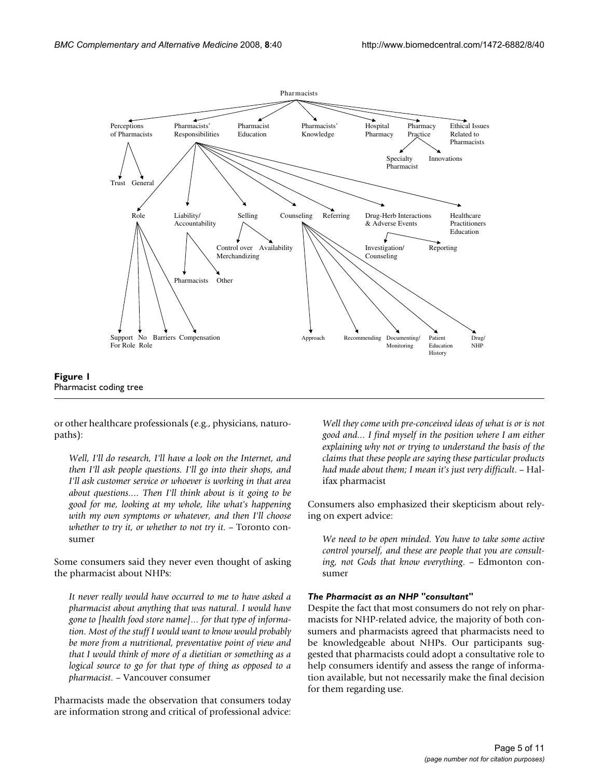

**Figure 1** Pharmacist coding tree

or other healthcare professionals (e.g., physicians, naturopaths):

*Well, I'll do research, I'll have a look on the Internet, and then I'll ask people questions. I'll go into their shops, and I'll ask customer service or whoever is working in that area about questions.... Then I'll think about is it going to be good for me, looking at my whole, like what's happening with my own symptoms or whatever, and then I'll choose whether to try it, or whether to not try it*. – Toronto consumer

Some consumers said they never even thought of asking the pharmacist about NHPs:

*It never really would have occurred to me to have asked a pharmacist about anything that was natural. I would have gone to [health food store name]... for that type of information. Most of the stuff I would want to know would probably be more from a nutritional, preventative point of view and that I would think of more of a dietitian or something as a logical source to go for that type of thing as opposed to a pharmacist*. – Vancouver consumer

Pharmacists made the observation that consumers today are information strong and critical of professional advice:

*Well they come with pre-conceived ideas of what is or is not good and... I find myself in the position where I am either explaining why not or trying to understand the basis of the claims that these people are saying these particular products had made about them; I mean it's just very difficult*. – Halifax pharmacist

Consumers also emphasized their skepticism about relying on expert advice:

*We need to be open minded. You have to take some active control yourself, and these are people that you are consulting, not Gods that know everything*. – Edmonton consumer

# *The Pharmacist as an NHP "consultant"*

Despite the fact that most consumers do not rely on pharmacists for NHP-related advice, the majority of both consumers and pharmacists agreed that pharmacists need to be knowledgeable about NHPs. Our participants suggested that pharmacists could adopt a consultative role to help consumers identify and assess the range of information available, but not necessarily make the final decision for them regarding use.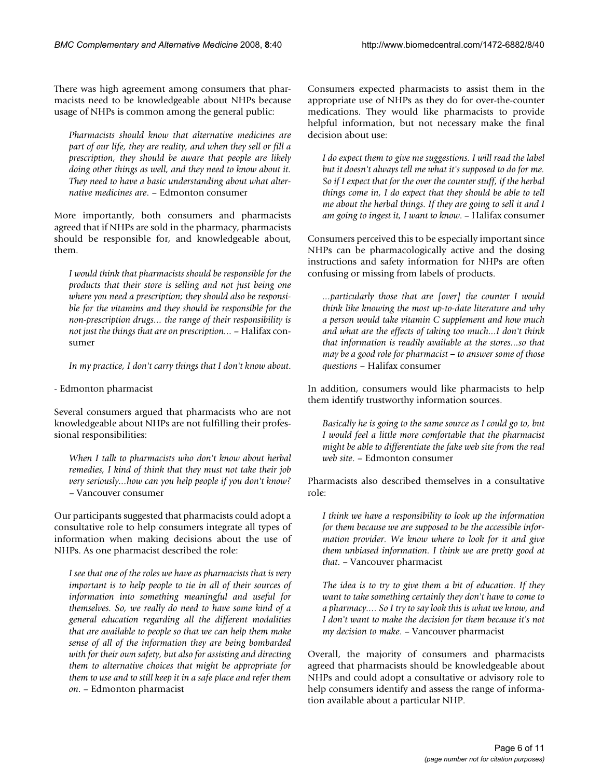There was high agreement among consumers that pharmacists need to be knowledgeable about NHPs because usage of NHPs is common among the general public:

*Pharmacists should know that alternative medicines are part of our life, they are reality, and when they sell or fill a prescription, they should be aware that people are likely doing other things as well, and they need to know about it. They need to have a basic understanding about what alternative medicines are*. – Edmonton consumer

More importantly, both consumers and pharmacists agreed that if NHPs are sold in the pharmacy, pharmacists should be responsible for, and knowledgeable about, them.

*I would think that pharmacists should be responsible for the products that their store is selling and not just being one where you need a prescription; they should also be responsible for the vitamins and they should be responsible for the non-prescription drugs... the range of their responsibility is not just the things that are on prescription...* – Halifax consumer

*In my practice, I don't carry things that I don't know about*.

- Edmonton pharmacist

Several consumers argued that pharmacists who are not knowledgeable about NHPs are not fulfilling their professional responsibilities:

*When I talk to pharmacists who don't know about herbal remedies, I kind of think that they must not take their job very seriously...how can you help people if you don't know?* – Vancouver consumer

Our participants suggested that pharmacists could adopt a consultative role to help consumers integrate all types of information when making decisions about the use of NHPs. As one pharmacist described the role:

*I see that one of the roles we have as pharmacists that is very important is to help people to tie in all of their sources of information into something meaningful and useful for themselves. So, we really do need to have some kind of a general education regarding all the different modalities that are available to people so that we can help them make sense of all of the information they are being bombarded with for their own safety, but also for assisting and directing them to alternative choices that might be appropriate for them to use and to still keep it in a safe place and refer them on*. – Edmonton pharmacist

Consumers expected pharmacists to assist them in the appropriate use of NHPs as they do for over-the-counter medications. They would like pharmacists to provide helpful information, but not necessary make the final decision about use:

*I do expect them to give me suggestions. I will read the label but it doesn't always tell me what it's supposed to do for me. So if I expect that for the over the counter stuff, if the herbal things come in, I do expect that they should be able to tell me about the herbal things. If they are going to sell it and I am going to ingest it, I want to know*. – Halifax consumer

Consumers perceived this to be especially important since NHPs can be pharmacologically active and the dosing instructions and safety information for NHPs are often confusing or missing from labels of products.

*...particularly those that are [over] the counter I would think like knowing the most up-to-date literature and why a person would take vitamin C supplement and how much and what are the effects of taking too much...I don't think that information is readily available at the stores...so that may be a good role for pharmacist – to answer some of those questions* – Halifax consumer

In addition, consumers would like pharmacists to help them identify trustworthy information sources.

*Basically he is going to the same source as I could go to, but I would feel a little more comfortable that the pharmacist might be able to differentiate the fake web site from the real web site*. – Edmonton consumer

Pharmacists also described themselves in a consultative role:

*I think we have a responsibility to look up the information for them because we are supposed to be the accessible information provider. We know where to look for it and give them unbiased information. I think we are pretty good at that*. – Vancouver pharmacist

*The idea is to try to give them a bit of education. If they want to take something certainly they don't have to come to a pharmacy.... So I try to say look this is what we know, and I don't want to make the decision for them because it's not my decision to make*. – Vancouver pharmacist

Overall, the majority of consumers and pharmacists agreed that pharmacists should be knowledgeable about NHPs and could adopt a consultative or advisory role to help consumers identify and assess the range of information available about a particular NHP.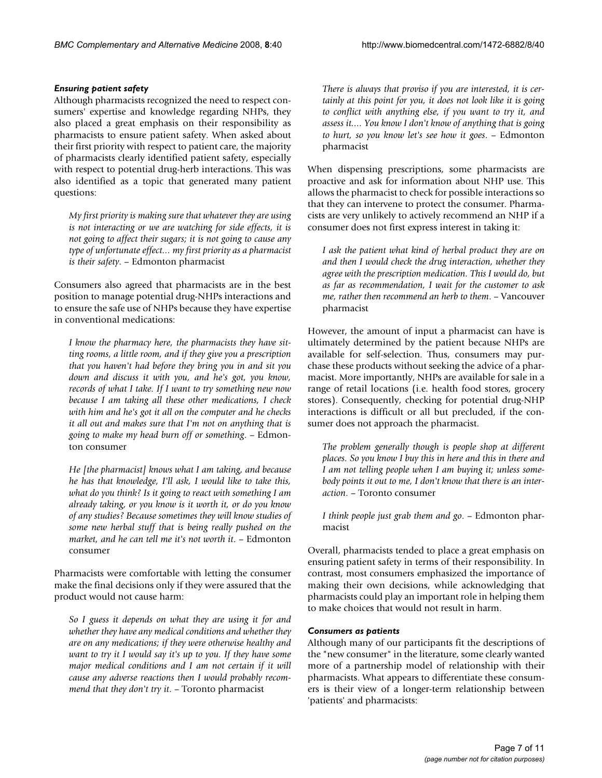## *Ensuring patient safety*

Although pharmacists recognized the need to respect consumers' expertise and knowledge regarding NHPs, they also placed a great emphasis on their responsibility as pharmacists to ensure patient safety. When asked about their first priority with respect to patient care, the majority of pharmacists clearly identified patient safety, especially with respect to potential drug-herb interactions. This was also identified as a topic that generated many patient questions:

*My first priority is making sure that whatever they are using is not interacting or we are watching for side effects, it is not going to affect their sugars; it is not going to cause any type of unfortunate effect... my first priority as a pharmacist is their safety*. – Edmonton pharmacist

Consumers also agreed that pharmacists are in the best position to manage potential drug-NHPs interactions and to ensure the safe use of NHPs because they have expertise in conventional medications:

*I know the pharmacy here, the pharmacists they have sitting rooms, a little room, and if they give you a prescription that you haven't had before they bring you in and sit you down and discuss it with you, and he's got, you know, records of what I take. If I want to try something new now because I am taking all these other medications, I check with him and he's got it all on the computer and he checks it all out and makes sure that I'm not on anything that is going to make my head burn off or something*. – Edmonton consumer

*He [the pharmacist] knows what I am taking, and because he has that knowledge, I'll ask, I would like to take this, what do you think? Is it going to react with something I am already taking, or you know is it worth it, or do you know of any studies? Because sometimes they will know studies of some new herbal stuff that is being really pushed on the market, and he can tell me it's not worth it*. – Edmonton consumer

Pharmacists were comfortable with letting the consumer make the final decisions only if they were assured that the product would not cause harm:

*So I guess it depends on what they are using it for and whether they have any medical conditions and whether they are on any medications; if they were otherwise healthy and want to try it I would say it's up to you. If they have some major medical conditions and I am not certain if it will cause any adverse reactions then I would probably recommend that they don't try it*. – Toronto pharmacist

*There is always that proviso if you are interested, it is certainly at this point for you, it does not look like it is going to conflict with anything else, if you want to try it, and assess it.... You know I don't know of anything that is going to hurt, so you know let's see how it goes*. – Edmonton pharmacist

When dispensing prescriptions, some pharmacists are proactive and ask for information about NHP use. This allows the pharmacist to check for possible interactions so that they can intervene to protect the consumer. Pharmacists are very unlikely to actively recommend an NHP if a consumer does not first express interest in taking it:

*I ask the patient what kind of herbal product they are on and then I would check the drug interaction, whether they agree with the prescription medication. This I would do, but as far as recommendation, I wait for the customer to ask me, rather then recommend an herb to them*. – Vancouver pharmacist

However, the amount of input a pharmacist can have is ultimately determined by the patient because NHPs are available for self-selection. Thus, consumers may purchase these products without seeking the advice of a pharmacist. More importantly, NHPs are available for sale in a range of retail locations (i.e. health food stores, grocery stores). Consequently, checking for potential drug-NHP interactions is difficult or all but precluded, if the consumer does not approach the pharmacist.

*The problem generally though is people shop at different places. So you know I buy this in here and this in there and I am not telling people when I am buying it; unless somebody points it out to me, I don't know that there is an interaction*. – Toronto consumer

*I think people just grab them and go*. – Edmonton pharmacist

Overall, pharmacists tended to place a great emphasis on ensuring patient safety in terms of their responsibility. In contrast, most consumers emphasized the importance of making their own decisions, while acknowledging that pharmacists could play an important role in helping them to make choices that would not result in harm.

### *Consumers as patients*

Although many of our participants fit the descriptions of the "new consumer" in the literature, some clearly wanted more of a partnership model of relationship with their pharmacists. What appears to differentiate these consumers is their view of a longer-term relationship between 'patients' and pharmacists: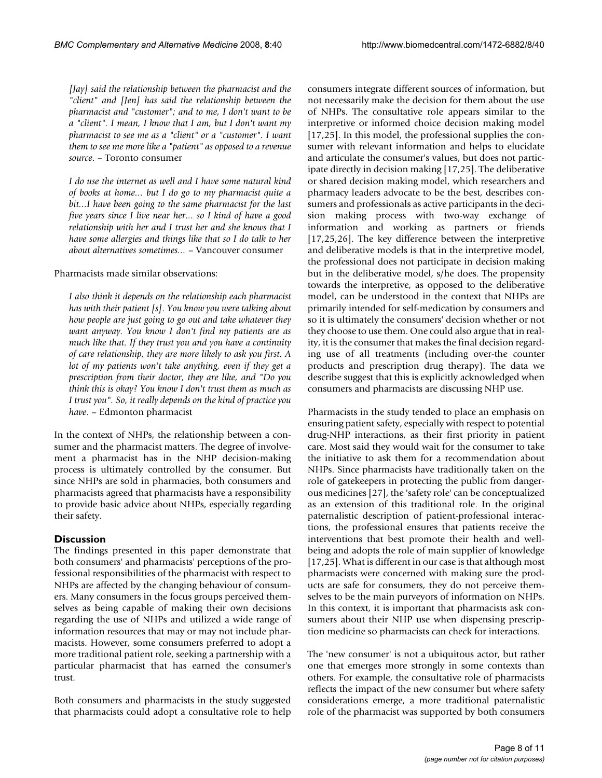*[Jay] said the relationship between the pharmacist and the "client" and [Jen] has said the relationship between the pharmacist and "customer"; and to me, I don't want to be a "client". I mean, I know that I am, but I don't want my pharmacist to see me as a "client" or a "customer". I want them to see me more like a "patient" as opposed to a revenue source*. – Toronto consumer

*I do use the internet as well and I have some natural kind of books at home... but I do go to my pharmacist quite a bit...I have been going to the same pharmacist for the last five years since I live near her... so I kind of have a good relationship with her and I trust her and she knows that I have some allergies and things like that so I do talk to her about alternatives sometimes...* – Vancouver consumer

Pharmacists made similar observations:

*I also think it depends on the relationship each pharmacist has with their patient [s]. You know you were talking about how people are just going to go out and take whatever they want anyway. You know I don't find my patients are as much like that. If they trust you and you have a continuity of care relationship, they are more likely to ask you first. A lot of my patients won't take anything, even if they get a prescription from their doctor, they are like, and "Do you think this is okay? You know I don't trust them as much as I trust you". So, it really depends on the kind of practice you have*. – Edmonton pharmacist

In the context of NHPs, the relationship between a consumer and the pharmacist matters. The degree of involvement a pharmacist has in the NHP decision-making process is ultimately controlled by the consumer. But since NHPs are sold in pharmacies, both consumers and pharmacists agreed that pharmacists have a responsibility to provide basic advice about NHPs, especially regarding their safety.

# **Discussion**

The findings presented in this paper demonstrate that both consumers' and pharmacists' perceptions of the professional responsibilities of the pharmacist with respect to NHPs are affected by the changing behaviour of consumers. Many consumers in the focus groups perceived themselves as being capable of making their own decisions regarding the use of NHPs and utilized a wide range of information resources that may or may not include pharmacists. However, some consumers preferred to adopt a more traditional patient role, seeking a partnership with a particular pharmacist that has earned the consumer's trust.

Both consumers and pharmacists in the study suggested that pharmacists could adopt a consultative role to help

consumers integrate different sources of information, but not necessarily make the decision for them about the use of NHPs. The consultative role appears similar to the interpretive or informed choice decision making model [17,25]. In this model, the professional supplies the consumer with relevant information and helps to elucidate and articulate the consumer's values, but does not participate directly in decision making [17,25]. The deliberative or shared decision making model, which researchers and pharmacy leaders advocate to be the best, describes consumers and professionals as active participants in the decision making process with two-way exchange of information and working as partners or friends [17,25,26]. The key difference between the interpretive and deliberative models is that in the interpretive model, the professional does not participate in decision making but in the deliberative model, s/he does. The propensity towards the interpretive, as opposed to the deliberative model, can be understood in the context that NHPs are primarily intended for self-medication by consumers and so it is ultimately the consumers' decision whether or not they choose to use them. One could also argue that in reality, it is the consumer that makes the final decision regarding use of all treatments (including over-the counter products and prescription drug therapy). The data we describe suggest that this is explicitly acknowledged when consumers and pharmacists are discussing NHP use.

Pharmacists in the study tended to place an emphasis on ensuring patient safety, especially with respect to potential drug-NHP interactions, as their first priority in patient care. Most said they would wait for the consumer to take the initiative to ask them for a recommendation about NHPs. Since pharmacists have traditionally taken on the role of gatekeepers in protecting the public from dangerous medicines [27], the 'safety role' can be conceptualized as an extension of this traditional role. In the original paternalistic description of patient-professional interactions, the professional ensures that patients receive the interventions that best promote their health and wellbeing and adopts the role of main supplier of knowledge [17,25]. What is different in our case is that although most pharmacists were concerned with making sure the products are safe for consumers, they do not perceive themselves to be the main purveyors of information on NHPs. In this context, it is important that pharmacists ask consumers about their NHP use when dispensing prescription medicine so pharmacists can check for interactions.

The 'new consumer' is not a ubiquitous actor, but rather one that emerges more strongly in some contexts than others. For example, the consultative role of pharmacists reflects the impact of the new consumer but where safety considerations emerge, a more traditional paternalistic role of the pharmacist was supported by both consumers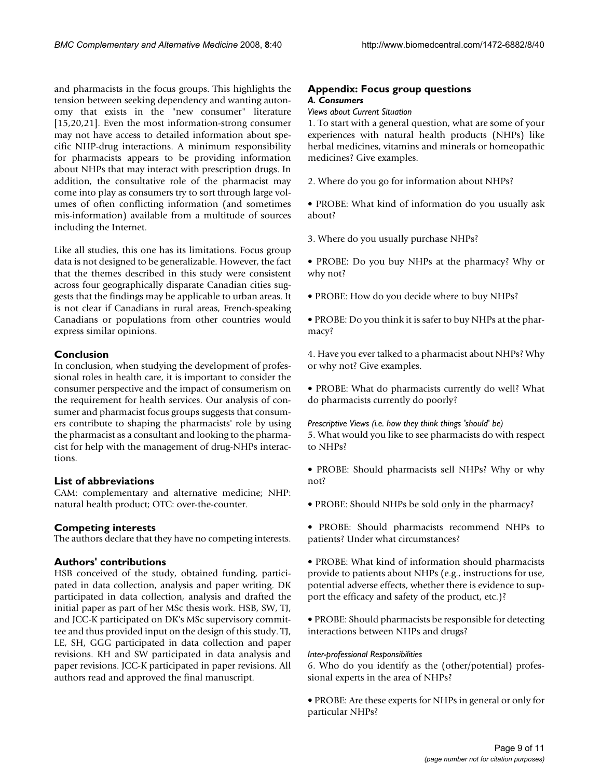and pharmacists in the focus groups. This highlights the tension between seeking dependency and wanting autonomy that exists in the "new consumer" literature [15,20,21]. Even the most information-strong consumer may not have access to detailed information about specific NHP-drug interactions. A minimum responsibility for pharmacists appears to be providing information about NHPs that may interact with prescription drugs. In addition, the consultative role of the pharmacist may come into play as consumers try to sort through large volumes of often conflicting information (and sometimes mis-information) available from a multitude of sources including the Internet.

Like all studies, this one has its limitations. Focus group data is not designed to be generalizable. However, the fact that the themes described in this study were consistent across four geographically disparate Canadian cities suggests that the findings may be applicable to urban areas. It is not clear if Canadians in rural areas, French-speaking Canadians or populations from other countries would express similar opinions.

# **Conclusion**

In conclusion, when studying the development of professional roles in health care, it is important to consider the consumer perspective and the impact of consumerism on the requirement for health services. Our analysis of consumer and pharmacist focus groups suggests that consumers contribute to shaping the pharmacists' role by using the pharmacist as a consultant and looking to the pharmacist for help with the management of drug-NHPs interactions.

# **List of abbreviations**

CAM: complementary and alternative medicine; NHP: natural health product; OTC: over-the-counter.

# **Competing interests**

The authors declare that they have no competing interests.

# **Authors' contributions**

HSB conceived of the study, obtained funding, participated in data collection, analysis and paper writing. DK participated in data collection, analysis and drafted the initial paper as part of her MSc thesis work. HSB, SW, TJ, and JCC-K participated on DK's MSc supervisory committee and thus provided input on the design of this study. TJ, LE, SH, GGG participated in data collection and paper revisions. KH and SW participated in data analysis and paper revisions. JCC-K participated in paper revisions. All authors read and approved the final manuscript.

# **Appendix: Focus group questions** *A. Consumers*

# *Views about Current Situation*

1. To start with a general question, what are some of your experiences with natural health products (NHPs) like herbal medicines, vitamins and minerals or homeopathic medicines? Give examples.

2. Where do you go for information about NHPs?

• PROBE: What kind of information do you usually ask about?

3. Where do you usually purchase NHPs?

• PROBE: Do you buy NHPs at the pharmacy? Why or why not?

• PROBE: How do you decide where to buy NHPs?

• PROBE: Do you think it is safer to buy NHPs at the pharmacy?

4. Have you ever talked to a pharmacist about NHPs? Why or why not? Give examples.

• PROBE: What do pharmacists currently do well? What do pharmacists currently do poorly?

*Prescriptive Views (i.e. how they think things 'should' be)* 5. What would you like to see pharmacists do with respect to NHPs?

• PROBE: Should pharmacists sell NHPs? Why or why not?

• PROBE: Should NHPs be sold only in the pharmacy?

• PROBE: Should pharmacists recommend NHPs to patients? Under what circumstances?

• PROBE: What kind of information should pharmacists provide to patients about NHPs (e.g., instructions for use, potential adverse effects, whether there is evidence to support the efficacy and safety of the product, etc.)?

• PROBE: Should pharmacists be responsible for detecting interactions between NHPs and drugs?

# *Inter-professional Responsibilities*

6. Who do you identify as the (other/potential) professional experts in the area of NHPs?

• PROBE: Are these experts for NHPs in general or only for particular NHPs?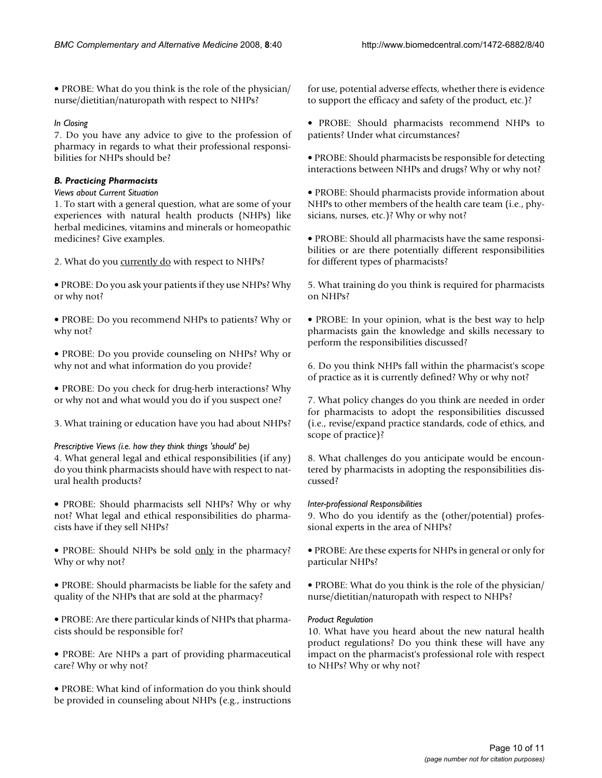• PROBE: What do you think is the role of the physician/ nurse/dietitian/naturopath with respect to NHPs?

# *In Closing*

7. Do you have any advice to give to the profession of pharmacy in regards to what their professional responsibilities for NHPs should be?

# *B. Practicing Pharmacists*

### *Views about Current Situation*

1. To start with a general question, what are some of your experiences with natural health products (NHPs) like herbal medicines, vitamins and minerals or homeopathic medicines? Give examples.

2. What do you **currently do** with respect to NHPs?

• PROBE: Do you ask your patients if they use NHPs? Why or why not?

• PROBE: Do you recommend NHPs to patients? Why or why not?

• PROBE: Do you provide counseling on NHPs? Why or why not and what information do you provide?

• PROBE: Do you check for drug-herb interactions? Why or why not and what would you do if you suspect one?

3. What training or education have you had about NHPs?

#### *Prescriptive Views (i.e. how they think things 'should' be)*

4. What general legal and ethical responsibilities (if any) do you think pharmacists should have with respect to natural health products?

• PROBE: Should pharmacists sell NHPs? Why or why not? What legal and ethical responsibilities do pharmacists have if they sell NHPs?

• PROBE: Should NHPs be sold only in the pharmacy? Why or why not?

• PROBE: Should pharmacists be liable for the safety and quality of the NHPs that are sold at the pharmacy?

• PROBE: Are there particular kinds of NHPs that pharmacists should be responsible for?

• PROBE: Are NHPs a part of providing pharmaceutical care? Why or why not?

• PROBE: What kind of information do you think should be provided in counseling about NHPs (e.g., instructions for use, potential adverse effects, whether there is evidence to support the efficacy and safety of the product, etc.)?

• PROBE: Should pharmacists recommend NHPs to patients? Under what circumstances?

• PROBE: Should pharmacists be responsible for detecting interactions between NHPs and drugs? Why or why not?

• PROBE: Should pharmacists provide information about NHPs to other members of the health care team (i.e., physicians, nurses, etc.)? Why or why not?

• PROBE: Should all pharmacists have the same responsibilities or are there potentially different responsibilities for different types of pharmacists?

5. What training do you think is required for pharmacists on NHPs?

• PROBE: In your opinion, what is the best way to help pharmacists gain the knowledge and skills necessary to perform the responsibilities discussed?

6. Do you think NHPs fall within the pharmacist's scope of practice as it is currently defined? Why or why not?

7. What policy changes do you think are needed in order for pharmacists to adopt the responsibilities discussed (i.e., revise/expand practice standards, code of ethics, and scope of practice)?

8. What challenges do you anticipate would be encountered by pharmacists in adopting the responsibilities discussed?

#### *Inter-professional Responsibilities*

9. Who do you identify as the (other/potential) professional experts in the area of NHPs?

• PROBE: Are these experts for NHPs in general or only for particular NHPs?

• PROBE: What do you think is the role of the physician/ nurse/dietitian/naturopath with respect to NHPs?

#### *Product Regulation*

10. What have you heard about the new natural health product regulations? Do you think these will have any impact on the pharmacist's professional role with respect to NHPs? Why or why not?